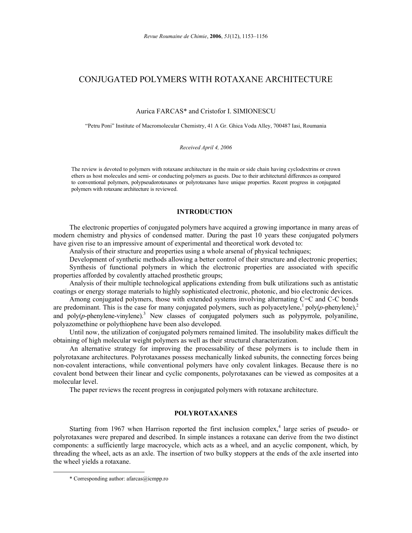# CONJUGATED POLYMERS WITH ROTAXANE ARCHITECTURE

Aurica FARCAS\* and Cristofor I. SIMIONESCU

"Petru Poni" Institute of Macromolecular Chemistry, 41 A Gr. Ghica Voda Alley, 700487 Iasi, Roumania

#### *Received April 4, 2006*

The review is devoted to polymers with rotaxane architecture in the main or side chain having cyclodextrins or crown ethers as host molecules and semi- or conducting polymers as guests. Due to their architectural differences as compared to conventional polymers, polypseudorotaxanes or polyrotaxanes have unique properties. Recent progress in conjugated polymers with rotaxane architecture is reviewed.

## **INTRODUCTION<sup>1</sup>**

The electronic properties of conjugated polymers have acquired a growing importance in many areas of modern chemistry and physics of condensed matter. During the past 10 years these conjugated polymers have given rise to an impressive amount of experimental and theoretical work devoted to:

Analysis of their structure and properties using a whole arsenal of physical techniques;

Development of synthetic methods allowing a better control of their structure and electronic properties;

Synthesis of functional polymers in which the electronic properties are associated with specific properties afforded by covalently attached prosthetic groups;

Analysis of their multiple technological applications extending from bulk utilizations such as antistatic coatings or energy storage materials to highly sophisticated electronic, photonic, and bio electronic devices.

Among conjugated polymers, those with extended systems involving alternating C=C and C-C bonds are predominant. This is the case for many conjugated polymers, such as polyacetylene, $\frac{1}{2}$  poly( $p$ -phenylene), $\frac{2}{3}$ and poly $(p$ -phenylene-vinylene).<sup>3</sup> New classes of conjugated polymers such as polypyrrole, polyaniline, polyazomethine or polythiophene have been also developed.

Until now, the utilization of conjugated polymers remained limited. The insolubility makes difficult the obtaining of high molecular weight polymers as well as their structural characterization.

An alternative strategy for improving the processability of these polymers is to include them in polyrotaxane architectures. Polyrotaxanes possess mechanically linked subunits, the connecting forces being non-covalent interactions, while conventional polymers have only covalent linkages. Because there is no covalent bond between their linear and cyclic components, polyrotaxanes can be viewed as composites at a molecular level.

The paper reviews the recent progress in conjugated polymers with rotaxane architecture.

# **POLYROTAXANES**

Starting from 1967 when Harrison reported the first inclusion complex, $<sup>4</sup>$  large series of pseudo- or</sup> polyrotaxanes were prepared and described. In simple instances a rotaxane can derive from the two distinct components: a sufficiently large macrocycle, which acts as a wheel, and an acyclic component, which, by threading the wheel, acts as an axle. The insertion of two bulky stoppers at the ends of the axle inserted into the wheel yields a rotaxane.

 <sup>\*</sup> Corresponding author: afarcas@icmpp.ro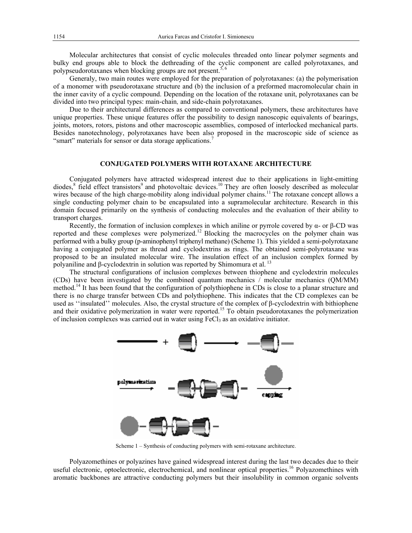Molecular architectures that consist of cyclic molecules threaded onto linear polymer segments and bulky end groups able to block the dethreading of the cyclic component are called polyrotaxanes, and polypseudorotaxanes when blocking groups are not present.<sup>5, 6</sup>

Generaly, two main routes were employed for the preparation of polyrotaxanes: (a) the polymerisation of a monomer with pseudorotaxane structure and (b) the inclusion of a preformed macromolecular chain in the inner cavity of a cyclic compound. Depending on the location of the rotaxane unit, polyrotaxanes can be divided into two principal types: main-chain*,* and side-chain polyrotaxanes.

Due to their architectural differences as compared to conventional polymers, these architectures have unique properties. These unique features offer the possibility to design nanoscopic equivalents of bearings, joints, motors, rotors, pistons and other macroscopic assemblies, composed of interlocked mechanical parts. Besides nanotechnology, polyrotaxanes have been also proposed in the macroscopic side of science as "smart" materials for sensor or data storage applications.<sup>7</sup>

## **CONJUGATED POLYMERS WITH ROTAXANE ARCHITECTURE**

Conjugated polymers have attracted widespread interest due to their applications in light-emitting diodes,<sup>8</sup> field effect transistors<sup>9</sup> and photovoltaic devices.<sup>10</sup> They are often loosely described as molecular wires because of the high charge-mobility along individual polymer chains.<sup>11</sup> The rotaxane concept allows a single conducting polymer chain to be encapsulated into a supramolecular architecture. Research in this domain focused primarily on the synthesis of conducting molecules and the evaluation of their ability to transport charges.

Recently, the formation of inclusion complexes in which aniline or pyrrole covered by  $α$ - or β-CD was reported and these complexes were polymerized.<sup>12</sup> Blocking the macrocycles on the polymer chain was performed with a bulky group (p-aminophenyl triphenyl methane) (Scheme 1). This yielded a semi-polyrotaxane having a conjugated polymer as thread and cyclodextrins as rings. The obtained semi-polyrotaxane was proposed to be an insulated molecular wire. The insulation effect of an inclusion complex formed by polyaniline and β-cyclodextrin in solution was reported by Shimomura et al.<sup>13</sup>

The structural configurations of inclusion complexes between thiophene and cyclodextrin molecules (CDs) have been investigated by the combined quantum mechanics / molecular mechanics (QM/MM) method.<sup>14</sup> It has been found that the configuration of polythiophene in CDs is close to a planar structure and there is no charge transfer between CDs and polythiophene. This indicates that the CD complexes can be used as ''insulated'' molecules. Also, the crystal structure of the complex of β-cyclodextrin with bithiophene and their oxidative polymerization in water were reported.<sup>15</sup> To obtain pseudorotaxanes the polymerization of inclusion complexes was carried out in water using FeCl<sub>3</sub> as an oxidative initiator.



Scheme 1 – Synthesis of conducting polymers with semi-rotaxane architecture.

Polyazomethines or polyazines have gained widespread interest during the last two decades due to their useful electronic, optoelectronic, electrochemical, and nonlinear optical properties.<sup>16</sup> Polyazomethines with aromatic backbones are attractive conducting polymers but their insolubility in common organic solvents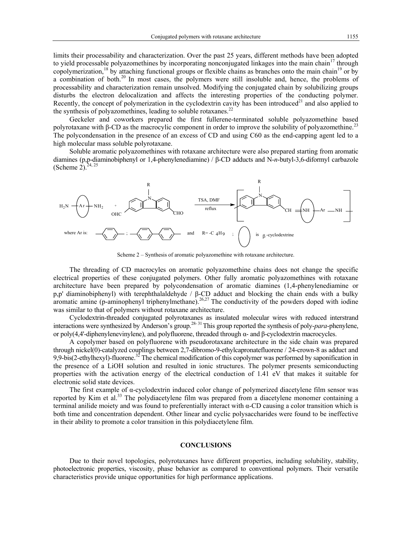limits their processability and characterization. Over the past 25 years, different methods have been adopted to yield processable polyazomethines by incorporating nonconjugated linkages into the main chain<sup>17</sup> through copolymerization,<sup>18</sup> by attaching functional groups or flexible chains as branches onto the main chain<sup>19</sup> or by a combination of both.<sup>20</sup> In most cases, the polymers were still insoluble and, hence, the problems of processability and characterization remain unsolved. Modifying the conjugated chain by solubilizing groups disturbs the electron delocalization and affects the interesting properties of the conducting polymer. Recently, the concept of polymerization in the cyclodextrin cavity has been introduced<sup>21</sup> and also applied to the synthesis of polyazomethines, leading to soluble rotaxanes.<sup>22</sup>

Geckeler and coworkers prepared the first fullerene-terminated soluble polyazomethine based polyrotaxane with β-CD as the macrocylic component in order to improve the solubility of polyazomethine.<sup>23</sup> The polycondensation in the presence of an excess of CD and using C60 as the end-capping agent led to a high molecular mass soluble polyrotaxane.

Soluble aromatic polyazomethines with rotaxane architecture were also prepared starting from aromatic diamines (p,p-diaminobiphenyl or 1,4-phenylenediamine) / β-CD adducts and N-*n*-butyl-3,6-diformyl carbazole (Scheme 2). $^{24,25}$ 



Scheme 2 – Synthesis of aromatic polyazomethine with rotaxane architecture.

The threading of CD macrocyles on aromatic polyazomethine chains does not change the specific electrical properties of these conjugated polymers. Other fully aromatic polyazomethines with rotaxane architecture have been prepared by polycondensation of aromatic diamines (1,4-phenylenediamine or p,p' diaminobiphenyl) with terephthalaldehyde / β-CD adduct and blocking the chain ends with a bulky aromatic amine (p-aminophenyl triphenylmethane).<sup>26,27</sup> The conductivity of the powders doped with iodine was similar to that of polymers without rotaxane architecture.

Cyclodextrin-threaded conjugated polyrotaxanes as insulated molecular wires with reduced interstrand interactions were synthesized by Anderson's group.<sup>28-31</sup> This group reported the synthesis of poly-*para*-phenylene, or poly(4,4'-diphenylenevinylene), and polyfluorene, threaded through α- and β-cyclodextrin macrocycles.

A copolymer based on polyfluorene with pseudorotaxane architecture in the side chain was prepared through nickel(0)-catalyzed couplings between 2,7-dibromo-9-ethylcapronatefluorene / 24-crown-8 as adduct and 9,9-bis(2-ethylhexyl)-fluorene.<sup>32</sup> The chemical modification of this copolymer was performed by saponification in the presence of a LiOH solution and resulted in ionic structures. The polymer presents semiconducting properties with the activation energy of the electrical conduction of 1.41 eV that makes it suitable for electronic solid state devices.

The first example of α-cyclodextrin induced color change of polymerized diacetylene film sensor was reported by Kim et al.<sup>33</sup> The polydiacetylene film was prepared from a diacetylene monomer containing a terminal anilide moiety and was found to preferentially interact with α-CD causing a color transition which is both time and concentration dependent. Other linear and cyclic polysaccharides were found to be ineffective in their ability to promote a color transition in this polydiacetylene film.

#### **CONCLUSIONS**

Due to their novel topologies, polyrotaxanes have different properties, including solubility, stability, photoelectronic properties, viscosity, phase behavior as compared to conventional polymers. Their versatile characteristics provide unique opportunities for high performance applications.